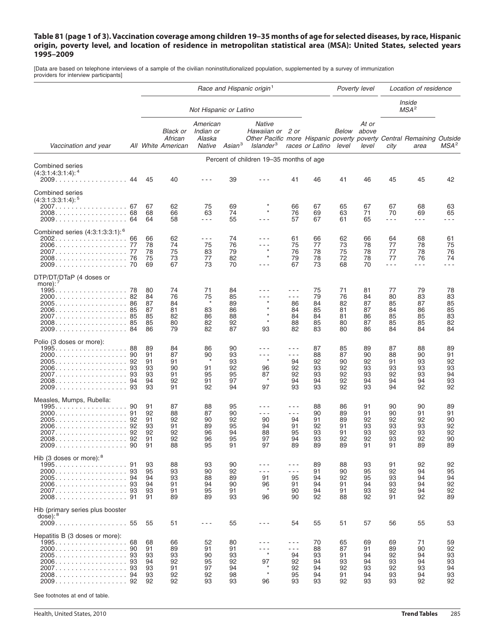## Table 81 (page 1 of 3). Vaccination coverage among children 19–35 months of age for selected diseases, by race, Hispanic origin, poverty level, and location of residence in metropolitan statistical area (MSA): United States, selected years **1995–2009**

[Data are based on telephone interviews of a sample of the civilian noninstitutionalized population, supplemented by a survey of immunization providers for interview participants]

|                                                                                                                                                                      |                                                            | Race and Hispanic origin <sup>1</sup>  |                                                  |                                                                                                                                                                                                                                                                                                                                                                                                                      |                                        |                                                                                                                                     |                                              | Poverty level                          |                                        | Location of residence                  |                                        |                                        |                                        |
|----------------------------------------------------------------------------------------------------------------------------------------------------------------------|------------------------------------------------------------|----------------------------------------|--------------------------------------------------|----------------------------------------------------------------------------------------------------------------------------------------------------------------------------------------------------------------------------------------------------------------------------------------------------------------------------------------------------------------------------------------------------------------------|----------------------------------------|-------------------------------------------------------------------------------------------------------------------------------------|----------------------------------------------|----------------------------------------|----------------------------------------|----------------------------------------|----------------------------------------|----------------------------------------|----------------------------------------|
|                                                                                                                                                                      |                                                            |                                        | Not Hispanic or Latino                           |                                                                                                                                                                                                                                                                                                                                                                                                                      |                                        |                                                                                                                                     |                                              |                                        |                                        | Inside<br>MSA <sup>2</sup>             |                                        |                                        |                                        |
| Vaccination and year                                                                                                                                                 |                                                            |                                        | <b>Black or</b><br>African<br>All White American | American<br>Indian or<br>Alaska<br>Native                                                                                                                                                                                                                                                                                                                                                                            | Asian <sup>3</sup>                     | <b>Native</b><br>Hawaiian or 2 or<br>Other Pacific more Hispanic poverty poverty Central Remaining Outside<br>Islander <sup>3</sup> |                                              | races or Latino                        | Below<br>level                         | At or<br>above<br>level                | city                                   | area                                   | MSA <sup>2</sup>                       |
|                                                                                                                                                                      | Percent of children 19-35 months of age<br>Combined series |                                        |                                                  |                                                                                                                                                                                                                                                                                                                                                                                                                      |                                        |                                                                                                                                     |                                              |                                        |                                        |                                        |                                        |                                        |                                        |
| $(4:3:1:4:3:1:4):$ <sup>4</sup>                                                                                                                                      | 44                                                         | 45                                     | 40                                               |                                                                                                                                                                                                                                                                                                                                                                                                                      | 39                                     |                                                                                                                                     | 41                                           | 46                                     | 41                                     | 46                                     | 45                                     | 45                                     | 42                                     |
| <b>Combined series</b><br>$(4:3:1:3:3:1:4):$ <sup>5</sup><br>2007. 67<br>2008. 68<br>2009. 64                                                                        |                                                            | 67<br>68<br>64                         | 62<br>66<br>58                                   | 75<br>63<br>$\frac{1}{2} \frac{1}{2} \frac{1}{2} \frac{1}{2} \frac{1}{2} \frac{1}{2} \frac{1}{2} \frac{1}{2} \frac{1}{2} \frac{1}{2} \frac{1}{2} \frac{1}{2} \frac{1}{2} \frac{1}{2} \frac{1}{2} \frac{1}{2} \frac{1}{2} \frac{1}{2} \frac{1}{2} \frac{1}{2} \frac{1}{2} \frac{1}{2} \frac{1}{2} \frac{1}{2} \frac{1}{2} \frac{1}{2} \frac{1}{2} \frac{1}{2} \frac{1}{2} \frac{1}{2} \frac{1}{2} \frac{$             | 69<br>74<br>55                         |                                                                                                                                     | 66<br>76<br>57                               | 67<br>69<br>67                         | 65<br>63<br>61                         | 67<br>71<br>65                         | 67<br>70<br>$  -$                      | 68<br>69<br>$- - -$                    | 63<br>65<br>$  -$                      |
| Combined series (4:3:1:3:3:1): <sup>6</sup><br>2006. 77<br>2007. 77                                                                                                  |                                                            | 66<br>78<br>78<br>75<br>69             | 62<br>74<br>75<br>73<br>67                       | $\frac{1}{2} \frac{1}{2} \frac{1}{2} \frac{1}{2} \frac{1}{2} \frac{1}{2} \frac{1}{2} \frac{1}{2} \frac{1}{2} \frac{1}{2} \frac{1}{2} \frac{1}{2} \frac{1}{2} \frac{1}{2} \frac{1}{2} \frac{1}{2} \frac{1}{2} \frac{1}{2} \frac{1}{2} \frac{1}{2} \frac{1}{2} \frac{1}{2} \frac{1}{2} \frac{1}{2} \frac{1}{2} \frac{1}{2} \frac{1}{2} \frac{1}{2} \frac{1}{2} \frac{1}{2} \frac{1}{2} \frac{$<br>75<br>83<br>77<br>73 | 74<br>76<br>79<br>82<br>70             | - - -<br>.<br>$\star$<br>$\star$<br>$  -$                                                                                           | 61<br>75<br>76<br>79<br>67                   | 66<br>77<br>78<br>78<br>73             | 62<br>73<br>75<br>72<br>68             | 66<br>78<br>78<br>78<br>70             | 64<br>77<br>77<br>77<br>$  -$          | 68<br>78<br>78<br>76<br>$- - -$        | 61<br>75<br>76<br>74<br>$  -$          |
| DTP/DT/DTaP (4 doses or<br>more): $\prime$<br>$1995. \ldots \ldots \ldots \ldots \ldots \ldots \quad 78$<br>2005. 86<br>2006. 85<br>2007. 85<br>2008. 85<br>2009. 84 |                                                            | 80<br>84<br>87<br>87<br>85<br>85<br>86 | 74<br>76<br>84<br>81<br>82<br>80<br>79           | 71<br>75<br>$\star$<br>83<br>86<br>82<br>82                                                                                                                                                                                                                                                                                                                                                                          | 84<br>85<br>89<br>86<br>88<br>92<br>87 | $\star$<br>93                                                                                                                       | - - -<br>- - -<br>86<br>84<br>84<br>88<br>82 | 75<br>79<br>84<br>85<br>84<br>85<br>83 | 71<br>76<br>82<br>81<br>81<br>80<br>80 | 81<br>84<br>87<br>87<br>86<br>87<br>86 | 77<br>80<br>85<br>84<br>85<br>85<br>84 | 79<br>83<br>87<br>86<br>85<br>85<br>84 | 78<br>83<br>85<br>85<br>83<br>82<br>84 |
| Polio (3 doses or more):<br>1995. 88<br>2005. 92<br>2006. 93<br>2007. 93<br>2008. 94                                                                                 | 93                                                         | 89<br>91<br>91<br>93<br>93<br>94<br>93 | 84<br>87<br>91<br>90<br>91<br>92<br>91           | 86<br>90<br>$\star$<br>91<br>95<br>91<br>92                                                                                                                                                                                                                                                                                                                                                                          | 90<br>93<br>93<br>92<br>95<br>97<br>94 | $^\star$<br>96<br>87<br>$\star$<br>97                                                                                               | $- - -$<br>222<br>94<br>92<br>92<br>94<br>93 | 87<br>88<br>92<br>93<br>93<br>94<br>93 | 85<br>87<br>90<br>92<br>92<br>92<br>92 | 89<br>90<br>92<br>93<br>93<br>94<br>93 | 87<br>88<br>91<br>93<br>92<br>94<br>94 | 88<br>90<br>93<br>93<br>93<br>94<br>92 | 89<br>91<br>92<br>93<br>94<br>93<br>92 |
| Measles, Mumps, Rubella:<br>1995. 90<br>2006. 92<br>2007. 92<br>2008. 92<br>2009. 90                                                                                 |                                                            | 91<br>92<br>91<br>93<br>92<br>91<br>91 | 87<br>88<br>92<br>91<br>92<br>92<br>88           | 88<br>87<br>90<br>89<br>96<br>96<br>95                                                                                                                                                                                                                                                                                                                                                                               | 95<br>90<br>92<br>95<br>94<br>95<br>91 | - - -<br>- - -<br>90<br>94<br>88<br>97<br>97                                                                                        | $  -$<br>- - -<br>94<br>91<br>95<br>94<br>89 | 88<br>90<br>91<br>92<br>93<br>93<br>89 | 86<br>89<br>89<br>91<br>91<br>92<br>89 | 91<br>91<br>92<br>93<br>93<br>92<br>91 | 90<br>90<br>92<br>93<br>92<br>93<br>91 | 90<br>91<br>92<br>93<br>93<br>92<br>89 | 89<br>91<br>90<br>92<br>92<br>90<br>89 |
| Hib (3 doses or more): <sup>8</sup><br>2005. 94<br>2006. 93<br>2007. 93                                                                                              |                                                            | 93<br>95<br>94<br>94<br>93<br>91       | 88<br>93<br>93<br>91<br>91<br>89                 | 93<br>90<br>88<br>94<br>95<br>89                                                                                                                                                                                                                                                                                                                                                                                     | 90<br>92<br>89<br>90<br>91<br>93       | - - -<br>- - -<br>91<br>96<br>96                                                                                                    | - - -<br>- - -<br>95<br>91<br>90<br>90       | 89<br>91<br>94<br>94<br>94<br>92       | 88<br>90<br>92<br>91<br>91<br>88       | 93<br>95<br>95<br>94<br>93<br>92       | 91<br>92<br>93<br>93<br>92<br>91       | 92<br>94<br>94<br>94<br>94<br>92       | 92<br>95<br>94<br>92<br>92<br>89       |
| Hib (primary series plus booster<br>$dose$ ): $8$<br>2009. 55                                                                                                        |                                                            | 55                                     | 51                                               | $- - -$                                                                                                                                                                                                                                                                                                                                                                                                              | 55                                     | $  -$                                                                                                                               | 54                                           | 55                                     | 51                                     | 57                                     | 56                                     | 55                                     | 53                                     |
| Hepatitis B (3 doses or more):<br>1995. 68<br>2005. 93<br>2006. 93<br>2007. 93<br>2008. 94<br>2009. 92                                                               |                                                            | 68<br>91<br>93<br>94<br>93<br>93<br>92 | 66<br>89<br>93<br>92<br>91<br>92<br>92           | 52<br>91<br>90<br>95<br>97<br>92<br>93                                                                                                                                                                                                                                                                                                                                                                               | 80<br>91<br>93<br>92<br>94<br>98<br>93 | 97<br>96                                                                                                                            | - - -<br>- - -<br>94<br>92<br>92<br>95<br>93 | 70<br>88<br>93<br>94<br>94<br>94<br>93 | 65<br>87<br>91<br>93<br>92<br>91<br>92 | 69<br>91<br>94<br>94<br>93<br>94<br>93 | 69<br>89<br>92<br>93<br>92<br>93<br>93 | 71<br>90<br>94<br>94<br>93<br>94<br>92 | 59<br>92<br>93<br>93<br>94<br>93<br>92 |

See footnotes at end of table.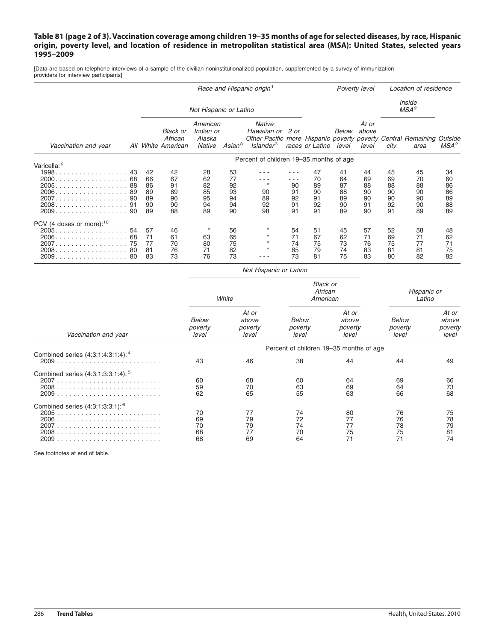## Table 81 (page 2 of 3). Vaccination coverage among children 19–35 months of age for selected diseases, by race, Hispanic origin, poverty level, and location of residence in metropolitan statistical area (MSA): United States, selected years **1995–2009**

[Data are based on telephone interviews of a sample of the civilian noninstitutionalized population, supplemented by a survey of immunization providers for interview participants]

|                                                                  | Race and Hispanic origin <sup>1</sup> |                                        |                                                  |                                           |                                        |                                                                                                                                     |                                     | Poverty level                          |                                        | Location of residence                  |                                        |                                        |                                        |
|------------------------------------------------------------------|---------------------------------------|----------------------------------------|--------------------------------------------------|-------------------------------------------|----------------------------------------|-------------------------------------------------------------------------------------------------------------------------------------|-------------------------------------|----------------------------------------|----------------------------------------|----------------------------------------|----------------------------------------|----------------------------------------|----------------------------------------|
|                                                                  | Not Hispanic or Latino                |                                        |                                                  |                                           |                                        |                                                                                                                                     |                                     |                                        |                                        |                                        | Inside<br>MSA <sup>2</sup>             |                                        |                                        |
| Vaccination and year                                             |                                       |                                        | <b>Black or</b><br>African<br>All White American | American<br>Indian or<br>Alaska<br>Native | Asian <sup>3</sup>                     | <b>Native</b><br>Hawaiian or 2 or<br>Other Pacific more Hispanic poverty poverty Central Remaining Outside<br>Islander <sup>3</sup> |                                     | races or Latino                        | Below<br>level                         | At or<br>above<br>level                | city                                   | area                                   | MSA <sup>2</sup>                       |
|                                                                  |                                       |                                        | Percent of children 19–35 months of age          |                                           |                                        |                                                                                                                                     |                                     |                                        |                                        |                                        |                                        |                                        |                                        |
| Varicella: 9<br>2005. 88<br>2008. 91                             | 43<br>68<br>-89<br>90<br>90           | 42<br>66<br>86<br>89<br>89<br>90<br>89 | 42<br>67<br>91<br>89<br>90<br>90<br>88           | 28<br>62<br>82<br>85<br>95<br>94<br>89    | 53<br>77<br>92<br>93<br>94<br>94<br>90 | 90<br>89<br>92<br>98                                                                                                                | - - -<br>90<br>91<br>92<br>91<br>91 | 47<br>70<br>89<br>90<br>91<br>92<br>91 | 41<br>64<br>87<br>88<br>89<br>90<br>89 | 44<br>69<br>88<br>90<br>90<br>91<br>90 | 45<br>69<br>88<br>90<br>90<br>92<br>91 | 45<br>70<br>88<br>90<br>90<br>90<br>89 | 34<br>60<br>86<br>86<br>89<br>88<br>89 |
| PCV (4 doses or more): $10$<br>2005.<br>2006.<br>.<br>2009.<br>. | 54<br>68<br>75<br>-80<br>80           | 57<br>71<br>77<br>81<br>83             | 46<br>61<br>70<br>76<br>73                       | 63<br>80<br>71<br>76                      | 56<br>65<br>75<br>82<br>73             |                                                                                                                                     | 54<br>71<br>74<br>85<br>73          | 51<br>67<br>75<br>79<br>81             | 45<br>62<br>73<br>74<br>75             | 57<br>71<br>76<br>83<br>83             | 52<br>69<br>75<br>81<br>80             | 58<br>71<br>77<br>81<br>82             | 48<br>62<br>71<br>75<br>82             |

|                                               |                                         | White                              |                                  | <b>Black or</b><br>African<br>American | Hispanic or<br>Latino      |                                    |  |  |  |  |  |
|-----------------------------------------------|-----------------------------------------|------------------------------------|----------------------------------|----------------------------------------|----------------------------|------------------------------------|--|--|--|--|--|
| Vaccination and year                          | <b>Below</b><br>poverty<br>level        | At or<br>above<br>poverty<br>level | <b>Below</b><br>poverty<br>level | At or<br>above<br>poverty<br>level     | Below<br>poverty<br>level  | At or<br>above<br>poverty<br>level |  |  |  |  |  |
|                                               | Percent of children 19-35 months of age |                                    |                                  |                                        |                            |                                    |  |  |  |  |  |
| Combined series (4:3:1:4:3:1:4): <sup>4</sup> | 43                                      | 46                                 | 38                               | 44                                     | 44                         | 49                                 |  |  |  |  |  |
| Combined series (4:3:1:3:3:1:4): <sup>5</sup> | 60<br>59<br>62                          | 68<br>70<br>65                     | 60<br>63<br>55                   | 64<br>69<br>63                         | 69<br>64<br>66             | 66<br>73<br>68                     |  |  |  |  |  |
| Combined series (4:3:1:3:3:1): <sup>6</sup>   | 70<br>69<br>70<br>68<br>68              | 77<br>79<br>79<br>77<br>69         | 74<br>72<br>74<br>70<br>64       | 80<br>77<br>77<br>75<br>71             | 76<br>76<br>78<br>75<br>71 | 75<br>78<br>79<br>81<br>74         |  |  |  |  |  |

*Not Hispanic or Latino*

See footnotes at end of table.